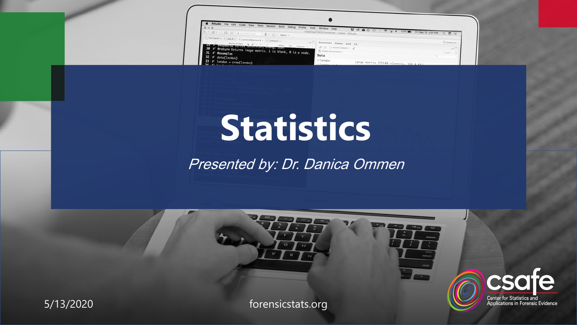| RStudio File Edit Code View Plots Session Build Debug Profile<br>Tools<br>(3) 读大 D 图 图 (本 With Come<br>8 - - Addrs -                                                                                                                                                                            | Window Help<br>~/Desktop/CSAFE/handwriter - master - RStudio       | $P - 1$<br>100% <b>and</b> FriSep 15 3:01 PM Q C E |                     |
|-------------------------------------------------------------------------------------------------------------------------------------------------------------------------------------------------------------------------------------------------------------------------------------------------|--------------------------------------------------------------------|----------------------------------------------------|---------------------|
| $\begin{array}{l} 0 \mid \text{Therefore, } \mathbb{R} = \{0\} \text{ that } \mathbb{R} = \{0\} \text{ includes the definition } \mathbb{R} = \{0\} \text{ is not odd, } \mathbb{R} \end{array}$<br>Chinese has G.Z.+ L. + 3 Met 39 Share + 27<br>45 For Executes Versex entertion, Zinny, Son, | Environment History Build Cit<br>E CIT El Car Import Dataset + Car |                                                    | - Kanderike<br>$-7$ |
| 30 #' @return Returns image matrix. 1 is blank, 0 is a node.<br>31 # @examples<br>$32$ $\#$ ' data(london)                                                                                                                                                                                      | Global Environment +<br>Data                                       |                                                    | tite »              |
| $33$ #' london = crop(london)                                                                                                                                                                                                                                                                   | 01andon<br><b>CONTRACTOR</b>                                       | Large matrix (71188 elements SSE 4 Visit           |                     |

# **Statistics**

Presented by: Dr. Danica Ommen

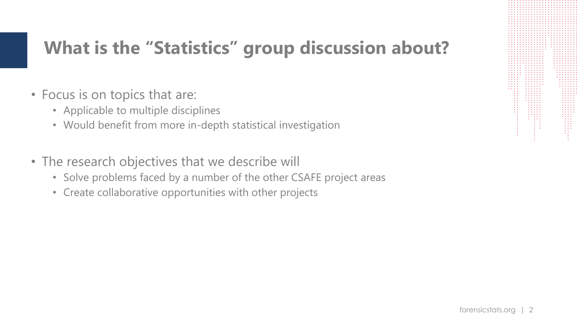### **What is the "Statistics" group discussion about?**

- Focus is on topics that are:
	- Applicable to multiple disciplines
	- Would benefit from more in-depth statistical investigation
- The research objectives that we describe will
	- Solve problems faced by a number of the other CSAFE project areas
	- Create collaborative opportunities with other projects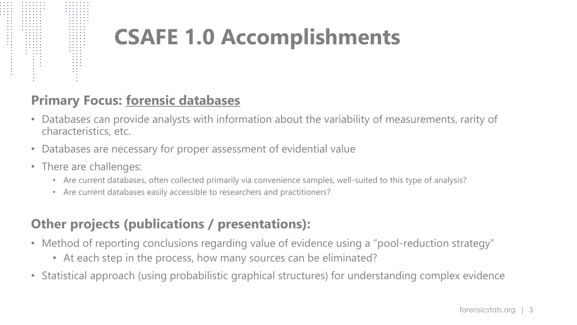# **CSAFE 1.0 Accomplishments**

### **Primary Focus: forensic databases**

- Databases can provide analysts with information about the variability of measurements, rarity of characteristics, etc.
- Databases are necessary for proper assessment of evidential value
- There are challenges:
	- Are current databases, often collected primarily via convenience samples, well-suited to this type of analysis?
	- Are current databases easily accessible to researchers and practitioners?

### **Other projects (publications / presentations):**

- Method of reporting conclusions regarding value of evidence using a "pool-reduction strategy"
	- At each step in the process, how many sources can be eliminated?
- Statistical approach (using probabilistic graphical structures) for understanding complex evidence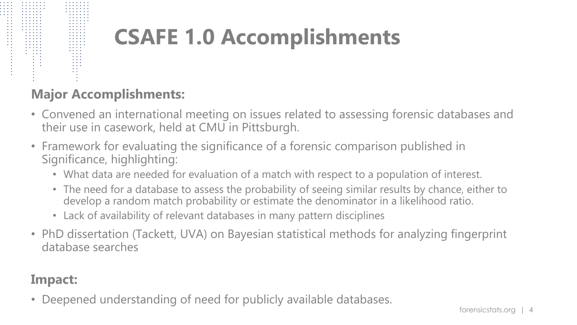# **CSAFE 1.0 Accomplishments**

### **Major Accomplishments:**

- Convened an international meeting on issues related to assessing forensic databases and their use in casework, held at CMU in Pittsburgh.
- Framework for evaluating the significance of a forensic comparison published in Significance, highlighting:
	- What data are needed for evaluation of a match with respect to a population of interest.
	- The need for a database to assess the probability of seeing similar results by chance, either to develop a random match probability or estimate the denominator in a likelihood ratio.
	- Lack of availability of relevant databases in many pattern disciplines
- PhD dissertation (Tackett, UVA) on Bayesian statistical methods for analyzing fingerprint database searches

### **Impact:**

• Deepened understanding of need for publicly available databases.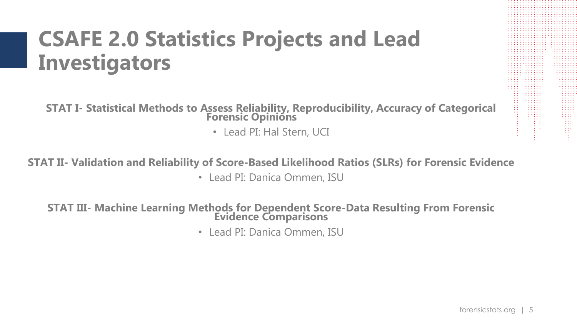# **CSAFE 2.0 Statistics Projects and Lead Investigators**

**STAT I- Statistical Methods to Assess Reliability, Reproducibility, Accuracy of Categorical Forensic Opinións** 

• Lead PI: Hal Stern, UCI

**STAT II- Validation and Reliability of Score-Based Likelihood Ratios (SLRs) for Forensic Evidence** • Lead PI: Danica Ommen, ISU

**STAT III- Machine Learning Methods for Dependent Score-Data Resulting From Forensic Evidence Comparisons**

• Lead PI: Danica Ommen, ISU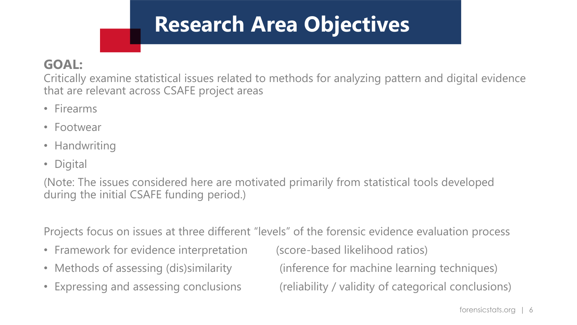# **Research Area Objectives**

### **GOAL:**

Critically examine statistical issues related to methods for analyzing pattern and digital evidence that are relevant across CSAFE project areas

- Firearms
- Footwear
- Handwriting
- Digital

(Note: The issues considered here are motivated primarily from statistical tools developed during the initial CSAFE funding period.)

Projects focus on issues at three different "levels" of the forensic evidence evaluation process

- Framework for evidence interpretation (score-based likelihood ratios)
- 
- 

• Methods of assessing (dis)similarity (inference for machine learning techniques) • Expressing and assessing conclusions (reliability / validity of categorical conclusions)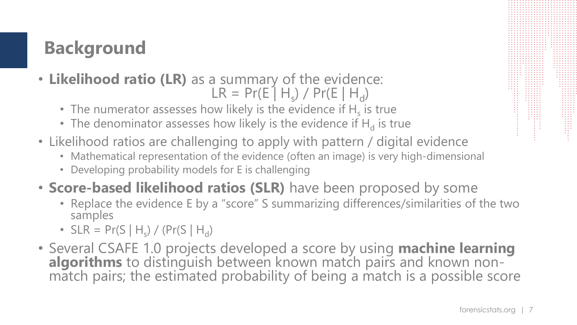# **Background**

- **Likelihood ratio (LR)** as a summary of the evidence:  $LR = Pr(E | H_s) / Pr(E | H_d)$ 
	- The numerator assesses how likely is the evidence if  $H_s$  is true
	- The denominator assesses how likely is the evidence if  $H_d$  is true
- Likelihood ratios are challenging to apply with pattern / digital evidence
	- Mathematical representation of the evidence (often an image) is very high-dimensional
	- Developing probability models for E is challenging
- **Score-based likelihood ratios (SLR)** have been proposed by some
	- Replace the evidence E by a "score" S summarizing differences/similarities of the two samples
	- $SLR = Pr(S | H_s) / (Pr(S | H_d)$
- Several CSAFE 1.0 projects developed a score by using **machine learning algorithms** to distinguish between known match pairs and known nonmatch pairs; the estimated probability of being a match is a possible score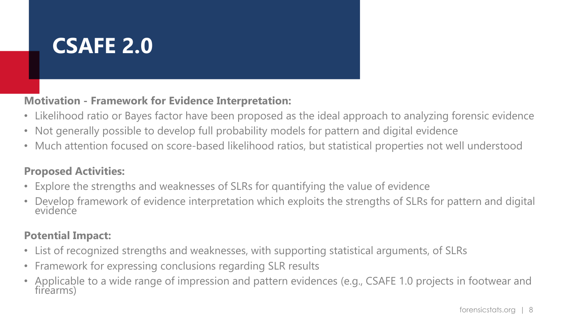# **CSAFE 2.0**

**Motivation - Framework for Evidence Interpretation:**

- Likelihood ratio or Bayes factor have been proposed as the ideal approach to analyzing forensic evidence
- Not generally possible to develop full probability models for pattern and digital evidence
- Much attention focused on score-based likelihood ratios, but statistical properties not well understood

#### **Proposed Activities:**

- Explore the strengths and weaknesses of SLRs for quantifying the value of evidence
- Develop framework of evidence interpretation which exploits the strengths of SLRs for pattern and digital evidence

#### **Potential Impact:**

- List of recognized strengths and weaknesses, with supporting statistical arguments, of SLRs
- Framework for expressing conclusions regarding SLR results
- Applicable to a wide range of impression and pattern evidences (e.g., CSAFE 1.0 projects in footwear and firearms)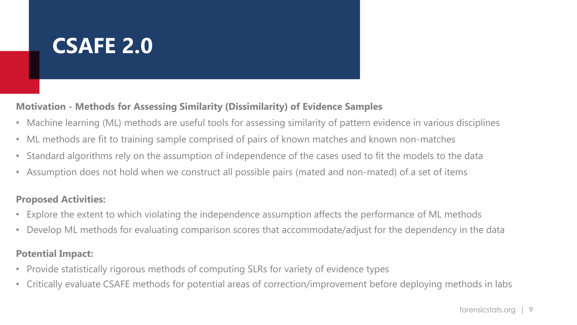# **CSAFE 2.0**

#### **Motivation - Methods for Assessing Similarity (Dissimilarity) of Evidence Samples**

- Machine learning (ML) methods are useful tools for assessing similarity of pattern evidence in various disciplines
- ML methods are fit to training sample comprised of pairs of known matches and known non-matches
- Standard algorithms rely on the assumption of independence of the cases used to fit the models to the data
- Assumption does not hold when we construct all possible pairs (mated and non-mated) of a set of items

#### **Proposed Activities:**

- Explore the extent to which violating the independence assumption affects the performance of ML methods
- Develop ML methods for evaluating comparison scores that accommodate/adjust for the dependency in the data

#### **Potential Impact:**

- Provide statistically rigorous methods of computing SLRs for variety of evidence types
- Critically evaluate CSAFE methods for potential areas of correction/improvement before deploying methods in labs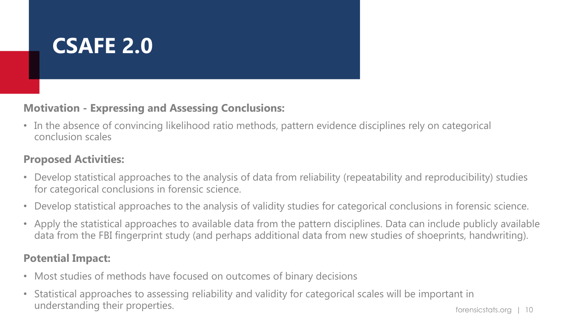

#### **Motivation - Expressing and Assessing Conclusions:**

• In the absence of convincing likelihood ratio methods, pattern evidence disciplines rely on categorical conclusion scales

#### **Proposed Activities:**

- Develop statistical approaches to the analysis of data from reliability (repeatability and reproducibility) studies for categorical conclusions in forensic science.
- Develop statistical approaches to the analysis of validity studies for categorical conclusions in forensic science.
- Apply the statistical approaches to available data from the pattern disciplines. Data can include publicly available data from the FBI fingerprint study (and perhaps additional data from new studies of shoeprints, handwriting).

#### **Potential Impact:**

- Most studies of methods have focused on outcomes of binary decisions
- Statistical approaches to assessing reliability and validity for categorical scales will be important in understanding their properties.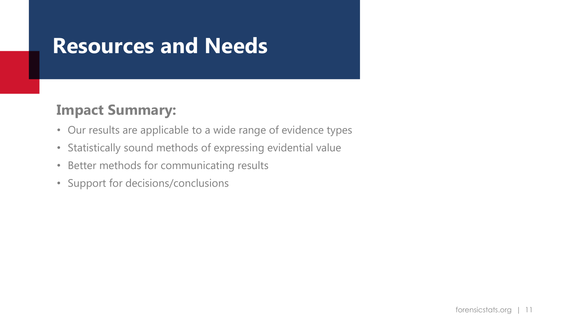### **Resources and Needs**

### **Impact Summary:**

- Our results are applicable to a wide range of evidence types
- Statistically sound methods of expressing evidential value
- Better methods for communicating results
- Support for decisions/conclusions